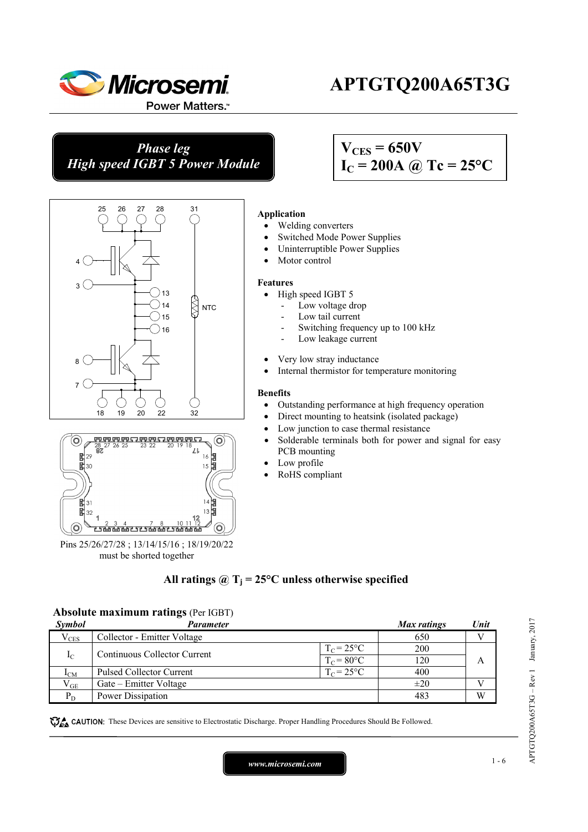

l

Ī

# **APTGTQ200A65T3G**

*Phase leg High speed IGBT 5 Power Module* 

## $V_{CES} = 650V$  $I_C = 200A \omega Tc = 25^{\circ}C$





Pins 25/26/27/28 ; 13/14/15/16 ; 18/19/20/22 must be shorted together

#### **Application**

- Welding converters
- Switched Mode Power Supplies
- Uninterruptible Power Supplies
- Motor control

#### **Features**

- High speed IGBT 5
	- Low voltage drop
	- Low tail current
	- Switching frequency up to 100 kHz
	- Low leakage current
- Very low stray inductance
- Internal thermistor for temperature monitoring

#### **Benefits**

- Outstanding performance at high frequency operation
- Direct mounting to heatsink (isolated package)
- Low junction to case thermal resistance
- Solderable terminals both for power and signal for easy PCB mounting
- Low profile
- RoHS compliant

## All ratings  $\omega_{\text{I}} = 25^{\circ}\text{C}$  unless otherwise specified

#### **Absolute maximum ratings** (Per IGBT)

| <i>Symbol</i>   | <b>Parameter</b>                |                    | Max ratings | Unit |
|-----------------|---------------------------------|--------------------|-------------|------|
| $V_{CES}$       | Collector - Emitter Voltage     |                    | 650         |      |
|                 | Continuous Collector Current    | $T_c = 25$ °C      | 200         |      |
| $I_{\rm C}$     | $T_c = 80$ °C                   |                    | 120         | А    |
| 1 <sub>CM</sub> | <b>Pulsed Collector Current</b> | $T_{\rm C}$ = 25°C | 400         |      |
| $V_{GE}$        | Gate – Emitter Voltage          |                    | $\pm 20$    |      |
| $P_D$           | Power Dissipation               |                    | 483         | W    |

These Devices are sensitive to Electrostatic Discharge. Proper Handling Procedures Should Be Followed.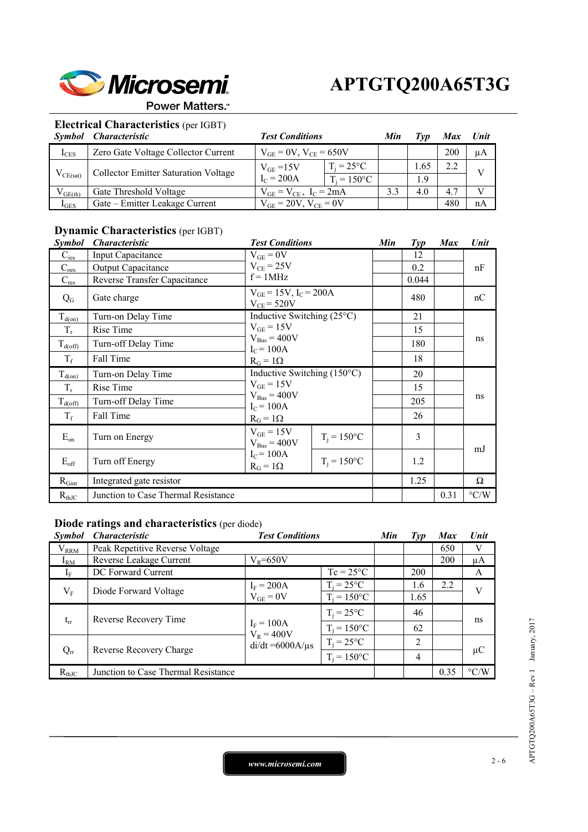

#### Power Matters.<sup>™</sup>

## **Electrical Characteristics** (per IGBT)

| <i>Symbol</i> | Characteristic                       | <b>Test Conditions</b>          | Min                 | Tvv |      | Unit |    |
|---------------|--------------------------------------|---------------------------------|---------------------|-----|------|------|----|
| $I_{CES}$     | Zero Gate Voltage Collector Current  | $V_{GE} = 0V$ , $V_{CE} = 650V$ |                     |     |      | 200  | μA |
| $V_{CE(sat)}$ | Collector Emitter Saturation Voltage | $V_{GE} = 15V$                  | $T_i = 25^{\circ}C$ |     | 1.65 |      |    |
|               |                                      | $I_C = 200A$                    | $T_i = 150$ °C      |     | 1.9  |      |    |
| $V_{GE(th)}$  | Gate Threshold Voltage               | $V_{GE} = V_{CE}$ , $I_C = 2mA$ |                     | 3.3 | 4.0  | 4.7  |    |
| $I_{GES}$     | Gate - Emitter Leakage Current       | $V_{GF} = 20V$ , $V_{CF} = 0V$  |                     |     |      | 480  | nA |

## **Dynamic Characteristics** (per IGBT)

| <b>Symbol</b>           | <b>Characteristic</b>               |                                      | <b>Test Conditions</b>              |  | $\mathcal{I}yp$ | <b>Max</b> | Unit               |  |
|-------------------------|-------------------------------------|--------------------------------------|-------------------------------------|--|-----------------|------------|--------------------|--|
| $C_{\rm ies}$           | Input Capacitance                   | $V_{GE} = 0V$                        |                                     |  | 12              |            |                    |  |
| $C_{\text{oes}}$        | <b>Output Capacitance</b>           | $V_{CE}$ = 25V                       |                                     |  | 0.2             |            | nF                 |  |
| $C_{res}$               | Reverse Transfer Capacitance        |                                      | $f = 1MHz$                          |  |                 |            |                    |  |
| $Q_{G}$                 | Gate charge                         | $V_{CE}$ = 520V                      | $V_{GE} = 15V$ , $I_C = 200A$       |  |                 |            | nC                 |  |
| $T_{d(on)}$             | Turn-on Delay Time                  |                                      | Inductive Switching $(25^{\circ}C)$ |  | 21              |            |                    |  |
| $T_r$                   | Rise Time                           | $V_{GE} = 15V$                       |                                     |  | 15              |            | ns                 |  |
| $T_{d(off)}$            | Turn-off Delay Time                 | $V_{Bus} = 400V$<br>$I_C = 100A$     |                                     |  | 180             |            |                    |  |
| $T_f$                   | Fall Time                           | $R_G = 1\Omega$                      |                                     |  |                 |            |                    |  |
| $T_{\underline{d}(on)}$ | Turn-on Delay Time                  | Inductive Switching $(150^{\circ}C)$ |                                     |  | 20              |            |                    |  |
| $T_r$                   | Rise Time                           | $V_{GE} = 15V$                       |                                     |  | 15              |            |                    |  |
| $T_{d(off)}$            | Turn-off Delay Time                 | $I_C = 100A$                         | $V_{Bus} = 400V$                    |  | 205             |            | ns                 |  |
| $T_f$                   | Fall Time                           | $R_G = 1\Omega$                      |                                     |  | 26              |            |                    |  |
| $E_{on}$                | Turn on Energy                      | $V_{GE} = 15V$<br>$V_{Bus} = 400V$   | $T_i = 150$ °C                      |  | 3               |            | mJ                 |  |
| $E_{\rm off}$           | Turn off Energy                     | $I_C = 100A$<br>$R_G = 1\Omega$      | $T_i = 150$ °C                      |  | 1.2             |            |                    |  |
| $R_{Gint}$              | Integrated gate resistor            |                                      |                                     |  | 1.25            |            | Ω                  |  |
| $R_{thJC}$              | Junction to Case Thermal Resistance |                                      |                                     |  |                 | 0.31       | $\rm ^{\circ} C/W$ |  |

#### **Diode ratings and characteristics** (per diode)

| <i>Symbol</i>                     | <b>Characteristic</b>                                        | <b>Test Conditions</b>        |                     | Min | Typ  | <b>Max</b> | Unit               |
|-----------------------------------|--------------------------------------------------------------|-------------------------------|---------------------|-----|------|------------|--------------------|
| $V_{RRM}$                         | Peak Repetitive Reverse Voltage                              |                               |                     |     |      | 650        | V                  |
| $I_{RM}$                          | Reverse Leakage Current                                      | $V_R = 650V$                  |                     |     |      | 200        | μA                 |
| 1 <sub>F</sub>                    | DC Forward Current                                           |                               | $Tc = 25^{\circ}C$  |     | 200  |            | A                  |
|                                   | Diode Forward Voltage                                        | $I_F = 200A$<br>$V_{GE} = 0V$ | $T_i = 25$ °C       |     | 1.6  | 2.2        | V                  |
| $V_{F}$                           |                                                              |                               | $T_i = 150$ °C      |     | 1.65 |            |                    |
| Reverse Recovery Time<br>$t_{rr}$ |                                                              | $I_F = 100A$<br>$V_R = 400V$  | $T_i = 25^{\circ}C$ |     | 46   |            | ns                 |
|                                   |                                                              |                               | $T_i = 150$ °C      |     | 62   |            |                    |
|                                   | $di/dt = 6000A/\mu s$<br>Reverse Recovery Charge<br>$Q_{rr}$ |                               | $T_i = 25$ °C       |     | 2    |            |                    |
|                                   |                                                              |                               | $T_i = 150$ °C      |     | 4    |            | $\mu$ C            |
| $R_{thJC}$                        | Junction to Case Thermal Resistance                          |                               |                     |     |      | 0.35       | $\rm ^{\circ} C/W$ |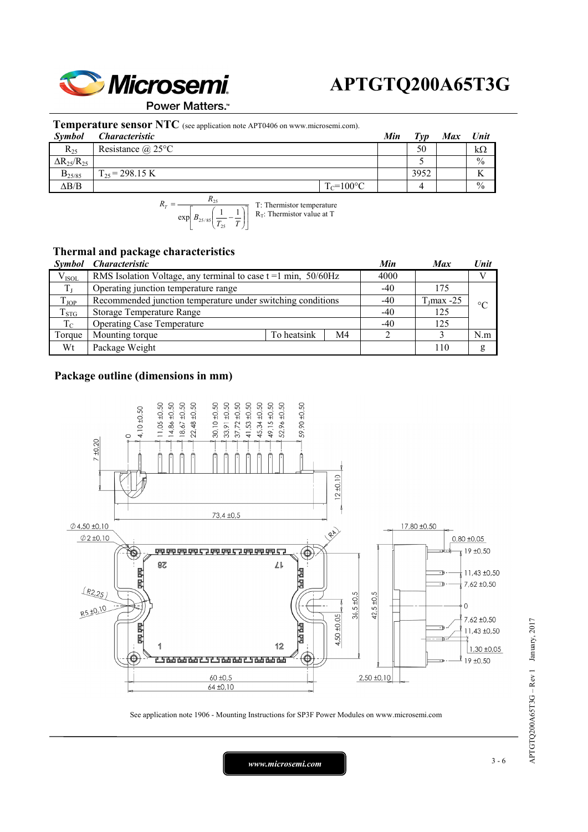

Power Matters.<sup>™</sup>

#### **Temperature sensor NTC** (see application note APT0406 on www.microsemi.com).

| <b>Symbol</b>          | <i>Characteristic</i>    |                | Min | $T_{VD}$ | <b>Max</b> | <b>Unit</b>   |
|------------------------|--------------------------|----------------|-----|----------|------------|---------------|
| $R_{25}$               | Resistance $\omega$ 25°C |                |     | 50       |            | kΩ            |
| $\Delta R_{25}/R_{25}$ |                          |                |     |          |            | $\frac{0}{0}$ |
| $B_{25/85}$            | $T_{25}$ = 298.15 K      |                |     | 3952     |            |               |
| $\Delta B/B$           |                          | $T_c = 100$ °C |     |          |            | $\frac{0}{0}$ |
|                        | <sup>n</sup>             |                |     |          |            |               |

 $\left[ B_{25/85}\left( \frac{1}{T_{25}} - \frac{1}{T} \right) \right]$  $\mathsf I$  $\overline{\phantom{a}}$ ⎠ ⎞  $\parallel$ ⎝  $=\frac{n_{25}}{\exp\left(B_{25/85}\left(\frac{1}{2}\right)\right)}$  $B_{25/85}$  $\left(\frac{1}{T_{25}} - \frac{1}{T_{25}}\right)$  $R_T = \frac{R_{25}}{\exp\left(B_{25/85}\left(\frac{1}{T_{25}} - \frac{1}{T}\right)\right)}$ 25 T: Thermistor temperature  $R_T$ : Thermistor value at T

#### **Thermal and package characteristics**

|                | Symbol Characteristic                                            |             |     | Min   | <b>Max</b>    | Unit    |  |
|----------------|------------------------------------------------------------------|-------------|-----|-------|---------------|---------|--|
| $\rm V_{ISOL}$ | RMS Isolation Voltage, any terminal to case $t = 1$ min, 50/60Hz |             |     |       |               |         |  |
|                | Operating junction temperature range                             |             |     |       | 175           |         |  |
| $T_{\rm JOP}$  | Recommended junction temperature under switching conditions      |             |     | $-40$ | $T_J$ max -25 | $\circ$ |  |
| $T_{STG}$      | Storage Temperature Range                                        |             |     | $-40$ | 125           |         |  |
| $T_{\rm C}$    | <b>Operating Case Temperature</b>                                | $-40$       | 125 |       |               |         |  |
| Torque         | Mounting torque                                                  | To heatsink | M4  |       |               | N.m     |  |
| Wt             | Package Weight                                                   |             |     |       | 110           | g       |  |

#### **Package outline (dimensions in mm)**



See application note 1906 - Mounting Instructions for SP3F Power Modules on www.microsemi.com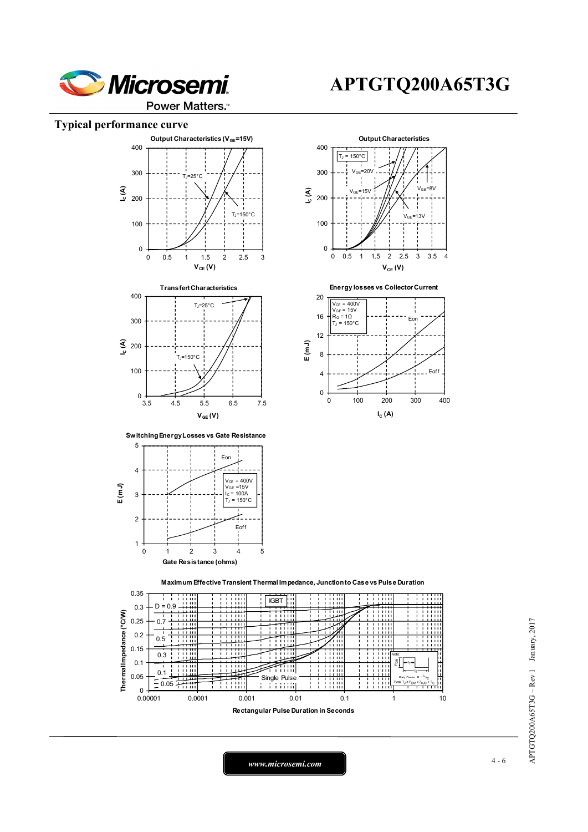

#### Power Matters.<sup>™</sup>

#### **Typical performance curve**





**Switching Energy Losses vs Gate Resistance**









**Maximum Effective Transient Thermal Impedance, Junction to Case vs Pulse Duration**



*www.microsemi.com* 4-6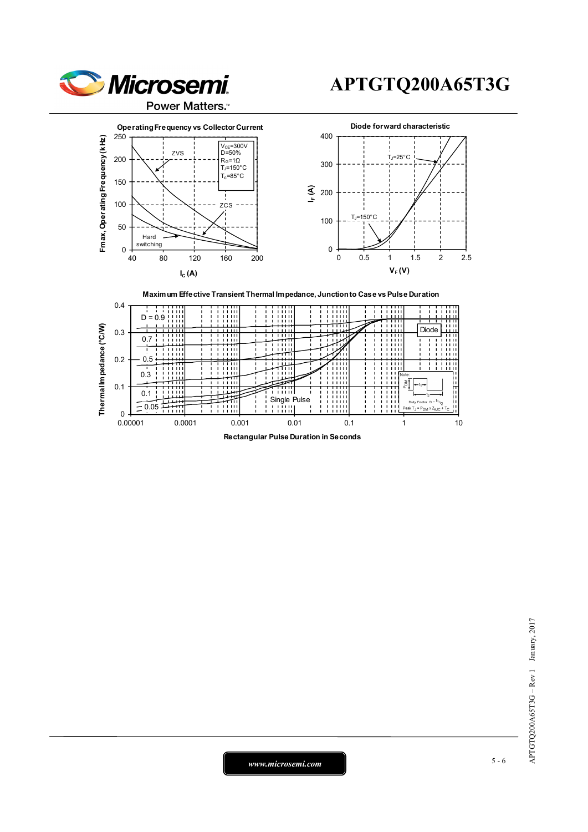

ZVS

**IC (A)**

Hard switching

 $0 + 40$ 

50

100

150

200

# **APTGTQ200A65T3G**





# APTGTQ200A65T3G - Rev 1 January, 2017 APTGTQ200A65T3G – Rev 1 January, 2017

*www.microsemi.com* 5-6